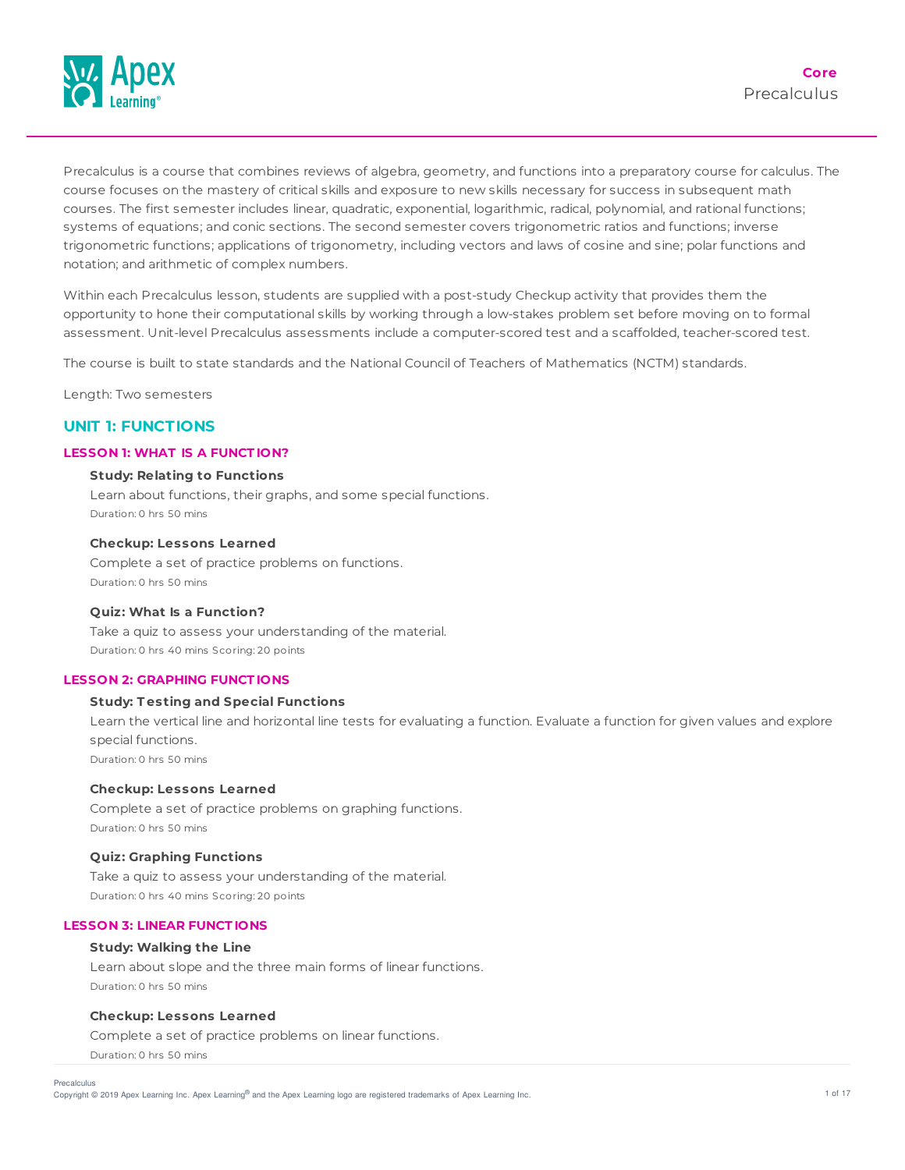

Precalculus is a course that combines reviews of algebra, geometry, and functions into a preparatory course for calculus. The course focuses on the mastery of critical skills and exposure to new skills necessary for success in subsequent math courses. The first semester includes linear, quadratic, exponential, logarithmic, radical, polynomial, and rational functions; systems of equations; and conic sections. The second semester covers trigonometric ratios and functions; inverse trigonometric functions; applications of trigonometry, including vectors and laws of cosine and sine; polar functions and notation; and arithmetic of complex numbers.

Within each Precalculus lesson, students are supplied with a post-study Checkup activity that provides them the opportunity to hone their computational skills by working through a low-stakes problem set before moving on to formal assessment. Unit-level Precalculus assessments include a computer-scored test and a scaffolded, teacher-scored test.

The course is built to state standards and the National Council of Teachers of Mathematics (NCTM) standards.

Length: Two semesters

# **UNIT 1: FUNCTIONS**

#### **LESSON 1: WHAT IS A FUNCT ION?**

#### **Study: Relating to Functions**

Learn about functions, their graphs, and some special functions. Duration: 0 hrs 50 mins

## **Checkup: Lessons Learned**

Complete a set of practice problems on functions. Duration: 0 hrs 50 mins

## **Quiz: What Is a Function?**

Take a quiz to assess your understanding of the material. Duration: 0 hrs 40 mins Scoring: 20 points

#### **LESSON 2: GRAPHING FUNCT IONS**

## **Study: T esting and Special Functions**

Learn the vertical line and horizontal line tests for evaluating a function. Evaluate a function for given values and explore special functions.

Duration: 0 hrs 50 mins

### **Checkup: Lessons Learned**

Complete a set of practice problems on graphing functions. Duration: 0 hrs 50 mins

#### **Quiz: Graphing Functions**

Take a quiz to assess your understanding of the material. Duration: 0 hrs 40 mins Scoring: 20 points

#### **LESSON 3: LINEAR FUNCT IONS**

#### **Study: Walking the Line**

Learn about slope and the three main forms of linear functions. Duration: 0 hrs 50 mins

#### **Checkup: Lessons Learned**

Complete a set of practice problems on linear functions. Duration: 0 hrs 50 mins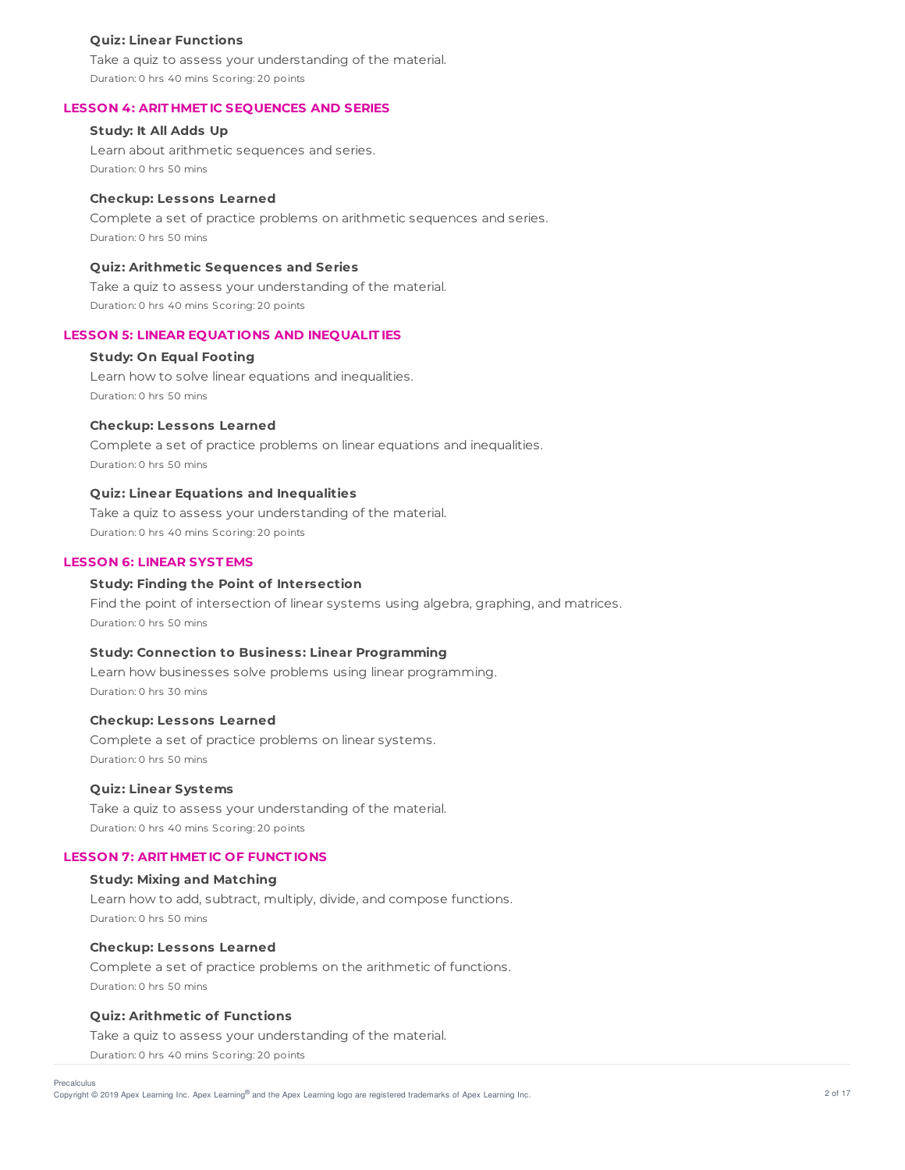#### **Quiz: Linear Functions**

Take a quiz to assess your understanding of the material. Duration: 0 hrs 40 mins Scoring: 20 points

#### **LESSON 4: ARIT HMET IC SEQUENCES AND SERIES**

# **Study: It All Adds Up**

Learn about arithmetic sequences and series. Duration: 0 hrs 50 mins

#### **Checkup: Lessons Learned**

Complete a set of practice problems on arithmetic sequences and series. Duration: 0 hrs 50 mins

## **Quiz: Arithmetic Sequences and Series**

Take a quiz to assess your understanding of the material. Duration: 0 hrs 40 mins Scoring: 20 points

#### **LESSON 5: LINEAR EQUAT IONS AND INEQUALIT IES**

#### **Study: On Equal Footing**

Learn how to solve linear equations and inequalities. Duration: 0 hrs 50 mins

#### **Checkup: Lessons Learned**

Complete a set of practice problems on linear equations and inequalities. Duration: 0 hrs 50 mins

#### **Quiz: Linear Equations and Inequalities**

Take a quiz to assess your understanding of the material. Duration: 0 hrs 40 mins Scoring: 20 points

#### **LESSON 6: LINEAR SYST EMS**

## **Study: Finding the Point of Intersection**

Find the point of intersection of linear systems using algebra, graphing, and matrices. Duration: 0 hrs 50 mins

### **Study: Connection to Business: Linear Programming**

Learn how businesses solve problems using linear programming. Duration: 0 hrs 30 mins

#### **Checkup: Lessons Learned**

Complete a set of practice problems on linear systems. Duration: 0 hrs 50 mins

#### **Quiz: Linear Systems**

Take a quiz to assess your understanding of the material. Duration: 0 hrs 40 mins Scoring: 20 points

### **LESSON 7: ARIT HMET IC OF FUNCT IONS**

#### **Study: Mixing and Matching**

Learn how to add, subtract, multiply, divide, and compose functions. Duration: 0 hrs 50 mins

#### **Checkup: Lessons Learned**

Complete a set of practice problems on the arithmetic of functions. Duration: 0 hrs 50 mins

## **Quiz: Arithmetic of Functions**

Take a quiz to assess your understanding of the material. Duration: 0 hrs 40 mins Scoring: 20 points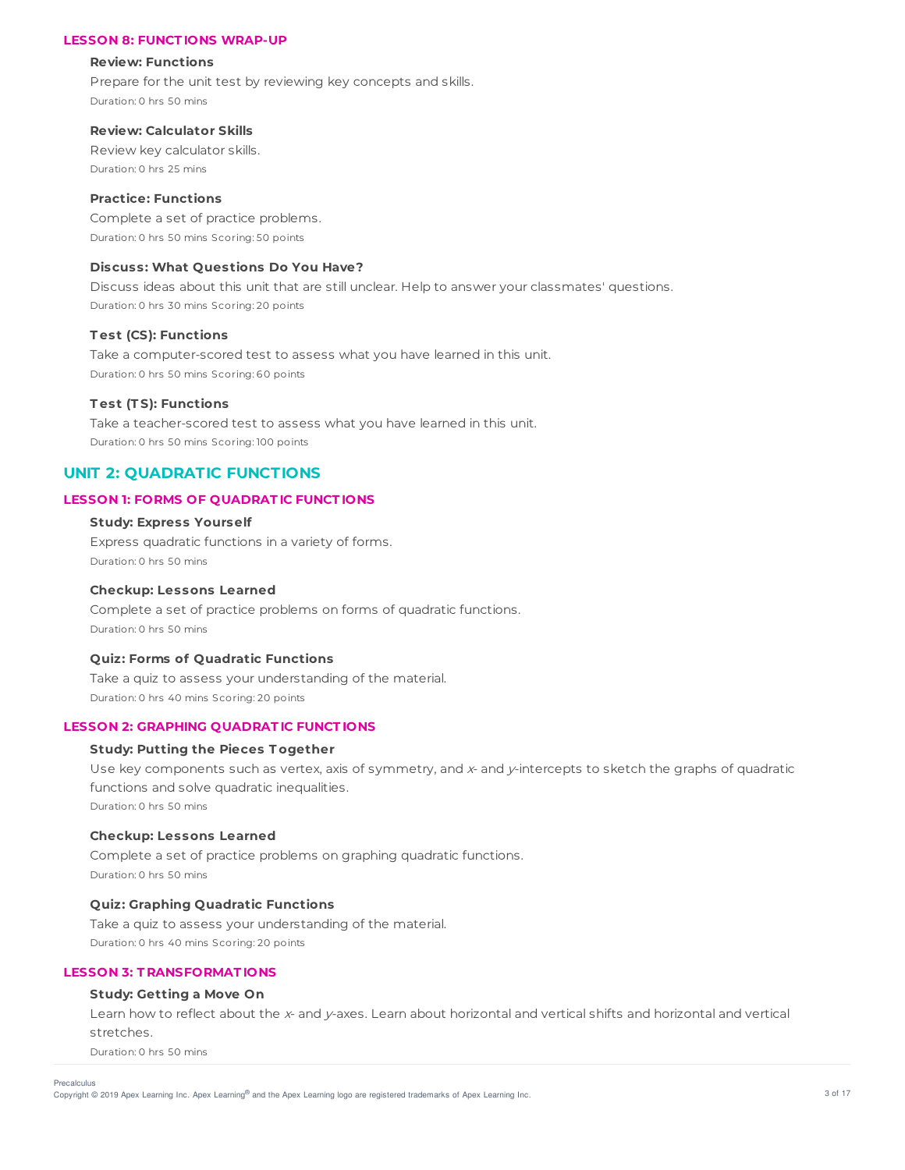#### **LESSON 8: FUNCT IONS WRAP-UP**

#### **Review: Functions**

Prepare for the unit test by reviewing key concepts and skills. Duration: 0 hrs 50 mins

## **Review: Calculator Skills**

Review key calculator skills. Duration: 0 hrs 25 mins

#### **Practice: Functions**

Complete a set of practice problems. Duration: 0 hrs 50 mins Scoring: 50 points

## **Discuss: What Questions Do You Have?**

Discuss ideas about this unit that are still unclear. Help to answer your classmates' questions. Duration: 0 hrs 30 mins Scoring: 20 points

#### **T est (CS): Functions**

Take a computer-scored test to assess what you have learned in this unit. Duration: 0 hrs 50 mins Scoring: 60 points

#### **T est (T S): Functions**

Take a teacher-scored test to assess what you have learned in this unit. Duration: 0 hrs 50 mins Scoring: 100 points

# **UNIT 2: QUADRATIC FUNCTIONS**

#### **LESSON 1: FORMS OF QUADRAT IC FUNCT IONS**

## **Study: Express Yourself**

Express quadratic functions in a variety of forms. Duration: 0 hrs 50 mins

#### **Checkup: Lessons Learned**

Complete a set of practice problems on forms of quadratic functions. Duration: 0 hrs 50 mins

### **Quiz: Forms of Quadratic Functions**

Take a quiz to assess your understanding of the material. Duration: 0 hrs 40 mins Scoring: 20 points

#### **LESSON 2: GRAPHING QUADRAT IC FUNCT IONS**

#### **Study: Putting the Pieces T ogether**

Use key components such as vertex, axis of symmetry, and x- and y-intercepts to sketch the graphs of quadratic functions and solve quadratic inequalities. Duration: 0 hrs 50 mins

### **Checkup: Lessons Learned**

Complete a set of practice problems on graphing quadratic functions. Duration: 0 hrs 50 mins

## **Quiz: Graphing Quadratic Functions**

Take a quiz to assess your understanding of the material. Duration: 0 hrs 40 mins Scoring: 20 points

#### **LESSON 3: T RANSFORMAT IONS**

#### **Study: Getting a Move On**

Learn how to reflect about the x- and y-axes. Learn about horizontal and vertical shifts and horizontal and vertical stretches.

Duration: 0 hrs 50 mins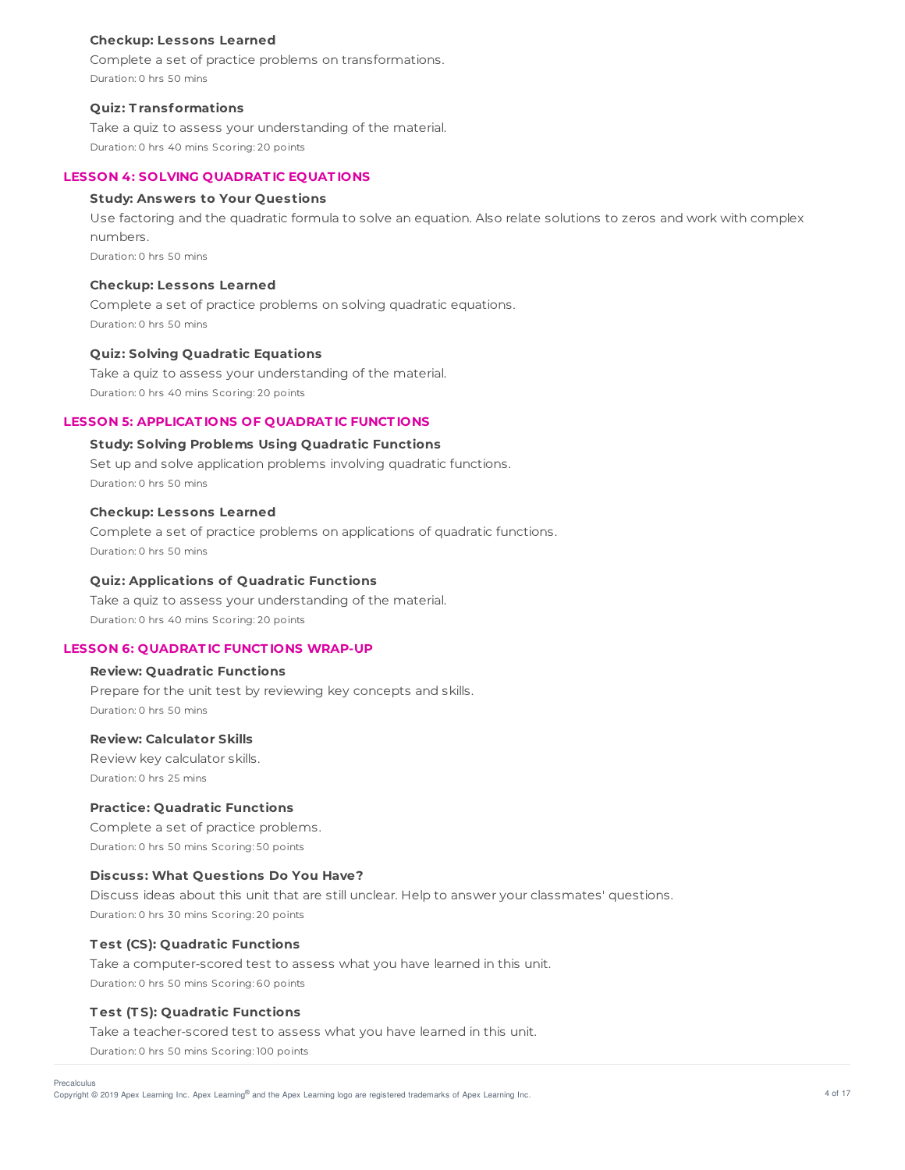#### **Checkup: Lessons Learned**

Complete a set of practice problems on transformations. Duration: 0 hrs 50 mins

# **Quiz: T ransformations**

Take a quiz to assess your understanding of the material. Duration: 0 hrs 40 mins Scoring: 20 points

# **LESSON 4: SOLVING QUADRAT IC EQUAT IONS**

# **Study: Answers to Your Questions**

Use factoring and the quadratic formula to solve an equation. Also relate solutions to zeros and work with complex numbers.

Duration: 0 hrs 50 mins

# **Checkup: Lessons Learned**

Complete a set of practice problems on solving quadratic equations. Duration: 0 hrs 50 mins

# **Quiz: Solving Quadratic Equations**

Take a quiz to assess your understanding of the material. Duration: 0 hrs 40 mins Scoring: 20 points

# **LESSON 5: APPLICAT IONS OF QUADRAT IC FUNCT IONS**

# **Study: Solving Problems Using Quadratic Functions**

Set up and solve application problems involving quadratic functions. Duration: 0 hrs 50 mins

## **Checkup: Lessons Learned**

Complete a set of practice problems on applications of quadratic functions. Duration: 0 hrs 50 mins

# **Quiz: Applications of Quadratic Functions**

Take a quiz to assess your understanding of the material. Duration: 0 hrs 40 mins Scoring: 20 points

## **LESSON 6: QUADRAT IC FUNCT IONS WRAP-UP**

## **Review: Quadratic Functions**

Prepare for the unit test by reviewing key concepts and skills. Duration: 0 hrs 50 mins

# **Review: Calculator Skills**

Review key calculator skills. Duration: 0 hrs 25 mins

# **Practice: Quadratic Functions**

Complete a set of practice problems. Duration: 0 hrs 50 mins Scoring: 50 points

## **Discuss: What Questions Do You Have?**

Discuss ideas about this unit that are still unclear. Help to answer your classmates' questions. Duration: 0 hrs 30 mins Scoring: 20 points

# **T est (CS): Quadratic Functions**

Take a computer-scored test to assess what you have learned in this unit. Duration: 0 hrs 50 mins Scoring: 60 points

# **T est (T S): Quadratic Functions**

Take a teacher-scored test to assess what you have learned in this unit.

Duration: 0 hrs 50 mins Scoring: 100 points

Precalculus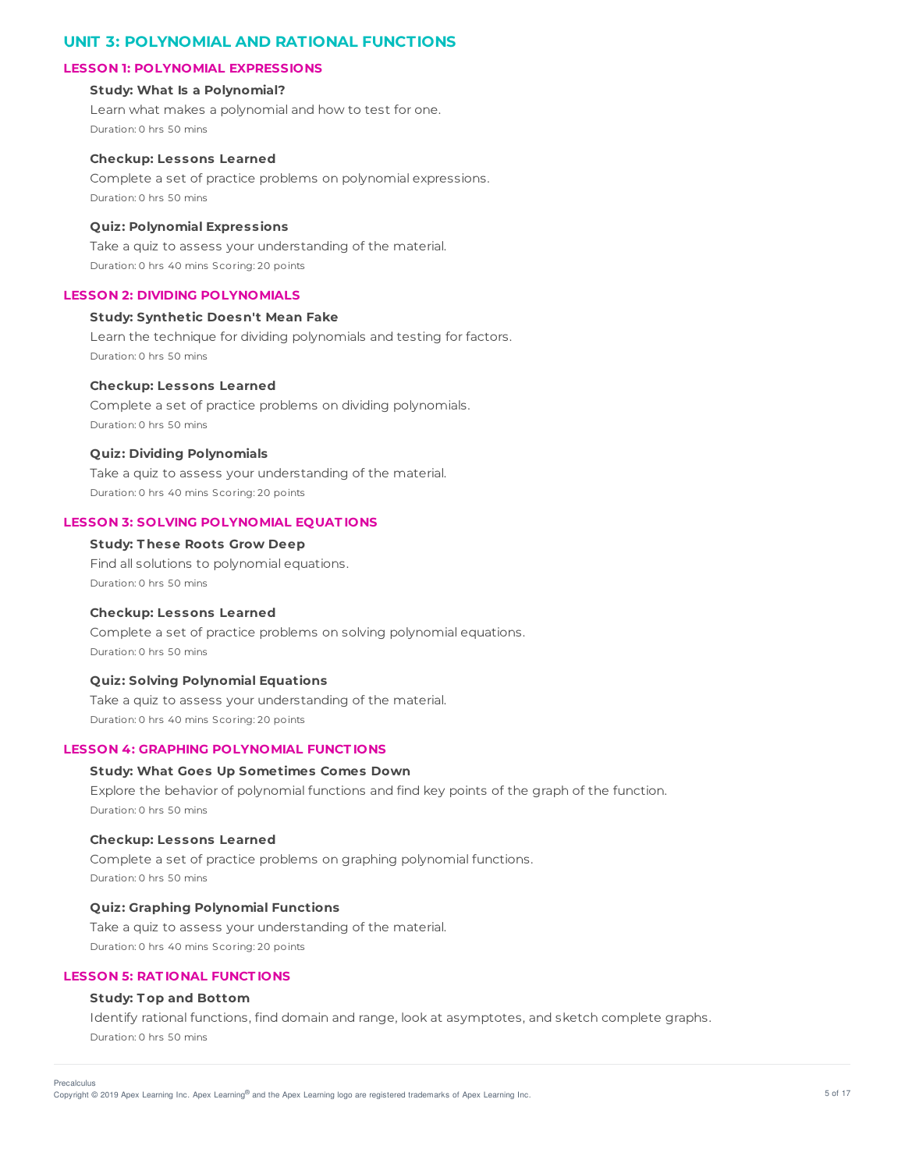# **UNIT 3: POLYNOMIAL AND RATIONAL FUNCTIONS**

### **LESSON 1: POLYNOMIAL EXPRESSIONS**

## **Study: What Is a Polynomial?**

Learn what makes a polynomial and how to test for one. Duration: 0 hrs 50 mins

#### **Checkup: Lessons Learned**

Complete a set of practice problems on polynomial expressions. Duration: 0 hrs 50 mins

#### **Quiz: Polynomial Expressions**

Take a quiz to assess your understanding of the material. Duration: 0 hrs 40 mins Scoring: 20 points

## **LESSON 2: DIVIDING POLYNOMIALS**

## **Study: Synthetic Doesn't Mean Fake**

Learn the technique for dividing polynomials and testing for factors. Duration: 0 hrs 50 mins

#### **Checkup: Lessons Learned**

Complete a set of practice problems on dividing polynomials. Duration: 0 hrs 50 mins

## **Quiz: Dividing Polynomials**

Take a quiz to assess your understanding of the material. Duration: 0 hrs 40 mins Scoring: 20 points

#### **LESSON 3: SOLVING POLYNOMIAL EQUAT IONS**

## **Study: T hese Roots Grow Deep**

Find all solutions to polynomial equations. Duration: 0 hrs 50 mins

## **Checkup: Lessons Learned**

Complete a set of practice problems on solving polynomial equations. Duration: 0 hrs 50 mins

#### **Quiz: Solving Polynomial Equations**

Take a quiz to assess your understanding of the material. Duration: 0 hrs 40 mins Scoring: 20 points

## **LESSON 4: GRAPHING POLYNOMIAL FUNCT IONS**

## **Study: What Goes Up Sometimes Comes Down**

Explore the behavior of polynomial functions and find key points of the graph of the function. Duration: 0 hrs 50 mins

#### **Checkup: Lessons Learned**

Complete a set of practice problems on graphing polynomial functions. Duration: 0 hrs 50 mins

## **Quiz: Graphing Polynomial Functions**

Take a quiz to assess your understanding of the material. Duration: 0 hrs 40 mins Scoring: 20 points

## **LESSON 5: RAT IONAL FUNCT IONS**

## **Study: T op and Bottom**

Identify rational functions, find domain and range, look at asymptotes, and sketch complete graphs. Duration: 0 hrs 50 mins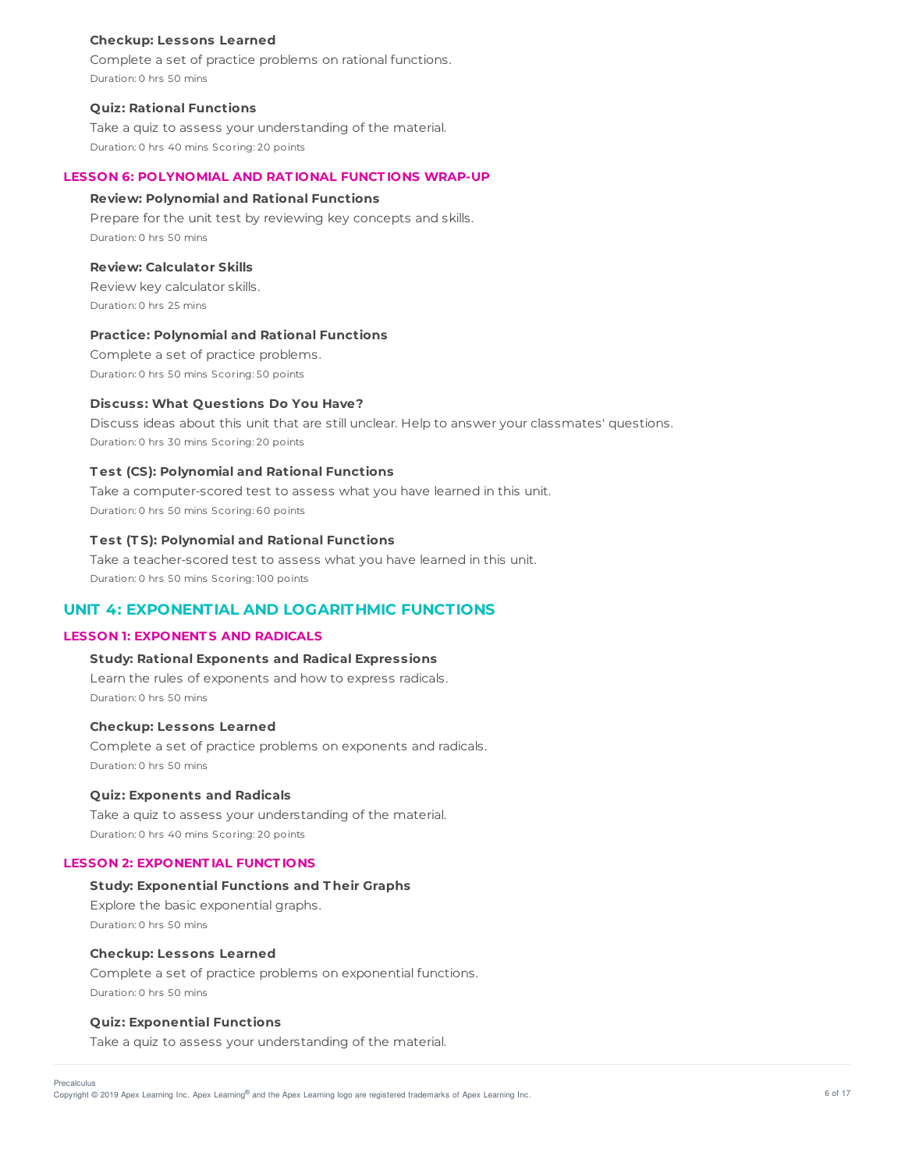#### **Checkup: Lessons Learned**

Complete a set of practice problems on rational functions. Duration: 0 hrs 50 mins

#### **Quiz: Rational Functions**

Take a quiz to assess your understanding of the material. Duration: 0 hrs 40 mins Scoring: 20 points

#### **LESSON 6: POLYNOMIAL AND RAT IONAL FUNCT IONS WRAP-UP**

#### **Review: Polynomial and Rational Functions**

Prepare for the unit test by reviewing key concepts and skills. Duration: 0 hrs 50 mins

### **Review: Calculator Skills**

Review key calculator skills. Duration: 0 hrs 25 mins

#### **Practice: Polynomial and Rational Functions**

Complete a set of practice problems. Duration: 0 hrs 50 mins Scoring: 50 points

#### **Discuss: What Questions Do You Have?**

Discuss ideas about this unit that are still unclear. Help to answer your classmates' questions. Duration: 0 hrs 30 mins Scoring: 20 points

### **T est (CS): Polynomial and Rational Functions**

Take a computer-scored test to assess what you have learned in this unit. Duration: 0 hrs 50 mins Scoring: 60 points

## **T est (T S): Polynomial and Rational Functions**

Take a teacher-scored test to assess what you have learned in this unit. Duration: 0 hrs 50 mins Scoring: 100 points

# **UNIT 4: EXPONENTIAL AND LOGARITHMIC FUNCTIONS**

## **LESSON 1: EXPONENT S AND RADICALS**

### **Study: Rational Exponents and Radical Expressions**

Learn the rules of exponents and how to express radicals. Duration: 0 hrs 50 mins

#### **Checkup: Lessons Learned**

Complete a set of practice problems on exponents and radicals. Duration: 0 hrs 50 mins

#### **Quiz: Exponents and Radicals**

Take a quiz to assess your understanding of the material. Duration: 0 hrs 40 mins Scoring: 20 points

#### **LESSON 2: EXPONENT IAL FUNCT IONS**

#### **Study: Exponential Functions and T heir Graphs**

Explore the basic exponential graphs. Duration: 0 hrs 50 mins

### **Checkup: Lessons Learned**

Complete a set of practice problems on exponential functions. Duration: 0 hrs 50 mins

## **Quiz: Exponential Functions**

Take a quiz to assess your understanding of the material.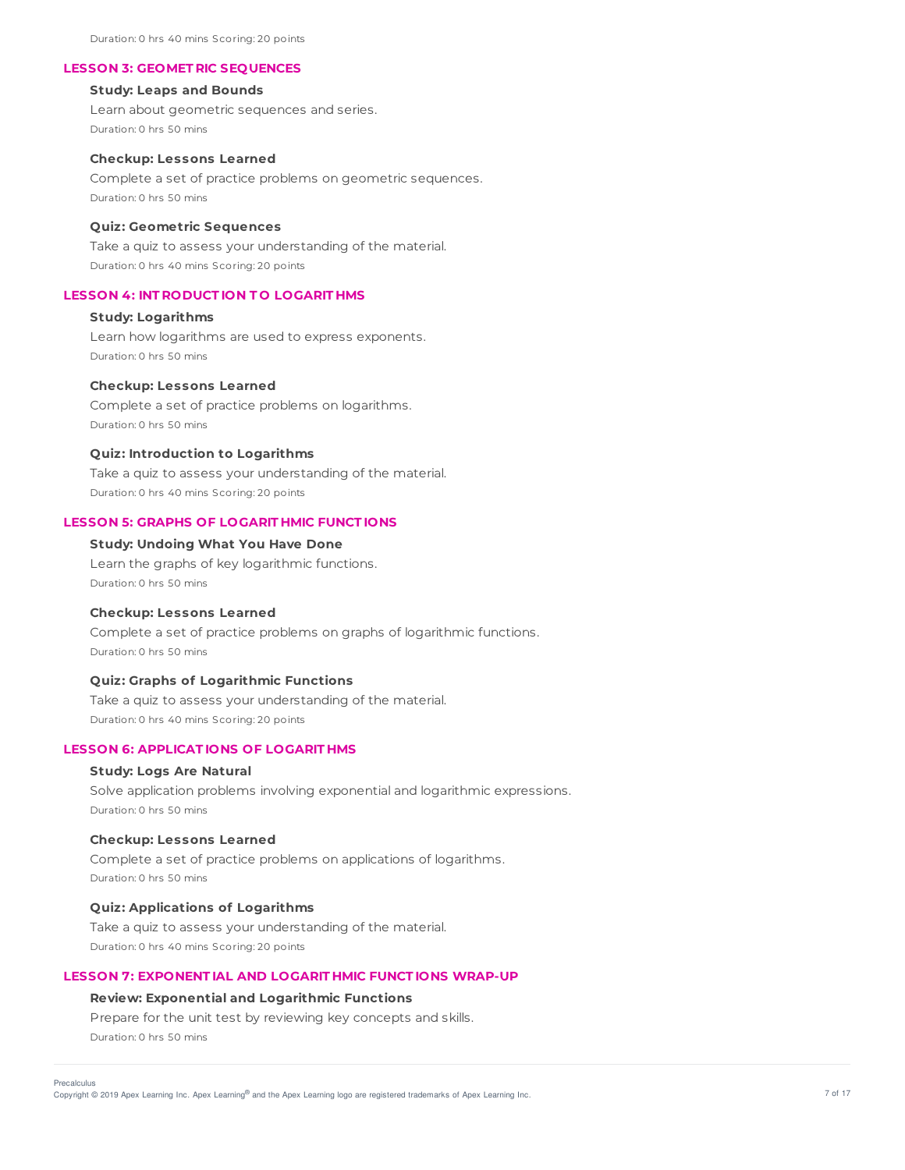Duration: 0 hrs 40 mins Scoring: 20 points

#### **LESSON 3: GEOMET RIC SEQUENCES**

## **Study: Leaps and Bounds**

Learn about geometric sequences and series. Duration: 0 hrs 50 mins

#### **Checkup: Lessons Learned**

Complete a set of practice problems on geometric sequences. Duration: 0 hrs 50 mins

#### **Quiz: Geometric Sequences**

Take a quiz to assess your understanding of the material. Duration: 0 hrs 40 mins Scoring: 20 points

## **LESSON 4: INT RODUCT ION T O LOGARIT HMS**

## **Study: Logarithms**

Learn how logarithms are used to express exponents. Duration: 0 hrs 50 mins

#### **Checkup: Lessons Learned**

Complete a set of practice problems on logarithms. Duration: 0 hrs 50 mins

## **Quiz: Introduction to Logarithms**

Take a quiz to assess your understanding of the material. Duration: 0 hrs 40 mins Scoring: 20 points

#### **LESSON 5: GRAPHS OF LOGARIT HMIC FUNCT IONS**

## **Study: Undoing What You Have Done**

Learn the graphs of key logarithmic functions. Duration: 0 hrs 50 mins

## **Checkup: Lessons Learned**

Complete a set of practice problems on graphs of logarithmic functions. Duration: 0 hrs 50 mins

#### **Quiz: Graphs of Logarithmic Functions**

Take a quiz to assess your understanding of the material. Duration: 0 hrs 40 mins Scoring: 20 points

## **LESSON 6: APPLICAT IONS OF LOGARIT HMS**

#### **Study: Logs Are Natural**

Solve application problems involving exponential and logarithmic expressions. Duration: 0 hrs 50 mins

#### **Checkup: Lessons Learned**

Complete a set of practice problems on applications of logarithms. Duration: 0 hrs 50 mins

## **Quiz: Applications of Logarithms**

Take a quiz to assess your understanding of the material. Duration: 0 hrs 40 mins Scoring: 20 points

## **LESSON 7: EXPONENT IAL AND LOGARIT HMIC FUNCT IONS WRAP-UP**

#### **Review: Exponential and Logarithmic Functions**

Prepare for the unit test by reviewing key concepts and skills. Duration: 0 hrs 50 mins

Copyright © 2019 Apex Learning Inc. Apex Learning® and the Apex Learning logo are registered trademarks of Apex Learning Inc. <br>Copyright © 2019 Apex Learning Inc. Apex Learning® and the Apex Learning logo are registered tr Precalculus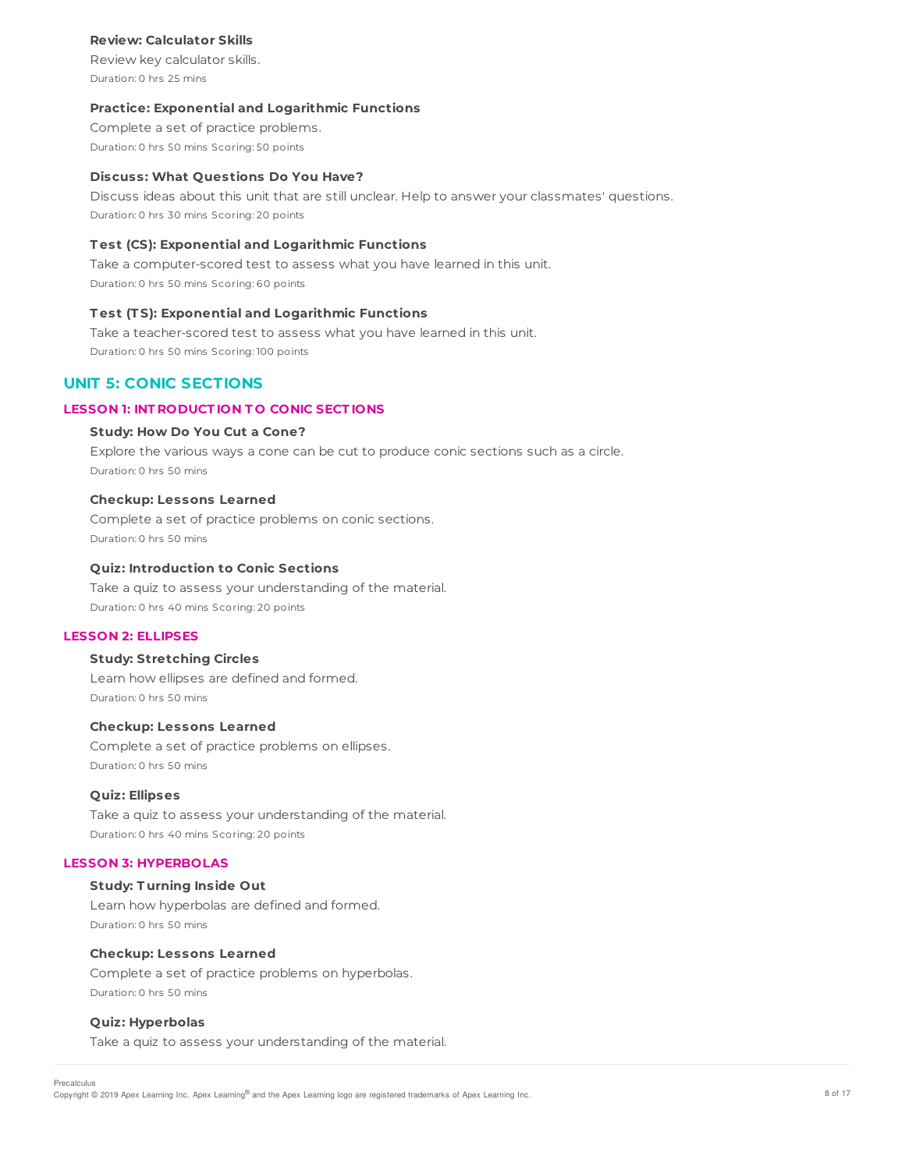### **Review: Calculator Skills**

Review key calculator skills. Duration: 0 hrs 25 mins

### **Practice: Exponential and Logarithmic Functions**

Complete a set of practice problems. Duration: 0 hrs 50 mins Scoring: 50 points

#### **Discuss: What Questions Do You Have?**

Discuss ideas about this unit that are still unclear. Help to answer your classmates' questions. Duration: 0 hrs 30 mins Scoring: 20 points

## **T est (CS): Exponential and Logarithmic Functions**

Take a computer-scored test to assess what you have learned in this unit. Duration: 0 hrs 50 mins Scoring: 60 points

### **T est (T S): Exponential and Logarithmic Functions**

Take a teacher-scored test to assess what you have learned in this unit. Duration: 0 hrs 50 mins Scoring: 100 points

## **UNIT 5: CONIC SECTIONS**

#### **LESSON 1: INT RODUCT ION T O CONIC SECT IONS**

### **Study: How Do You Cut a Cone?**

Explore the various ways a cone can be cut to produce conic sections such as a circle. Duration: 0 hrs 50 mins

#### **Checkup: Lessons Learned**

Complete a set of practice problems on conic sections. Duration: 0 hrs 50 mins

#### **Quiz: Introduction to Conic Sections**

Take a quiz to assess your understanding of the material. Duration: 0 hrs 40 mins Scoring: 20 points

## **LESSON 2: ELLIPSES**

### **Study: Stretching Circles**

Learn how ellipses are defined and formed. Duration: 0 hrs 50 mins

#### **Checkup: Lessons Learned**

Complete a set of practice problems on ellipses. Duration: 0 hrs 50 mins

#### **Quiz: Ellipses**

Take a quiz to assess your understanding of the material. Duration: 0 hrs 40 mins Scoring: 20 points

## **LESSON 3: HYPERBOLAS**

## **Study: T urning Inside Out**

Learn how hyperbolas are defined and formed. Duration: 0 hrs 50 mins

## **Checkup: Lessons Learned**

Complete a set of practice problems on hyperbolas. Duration: 0 hrs 50 mins

### **Quiz: Hyperbolas**

Take a quiz to assess your understanding of the material.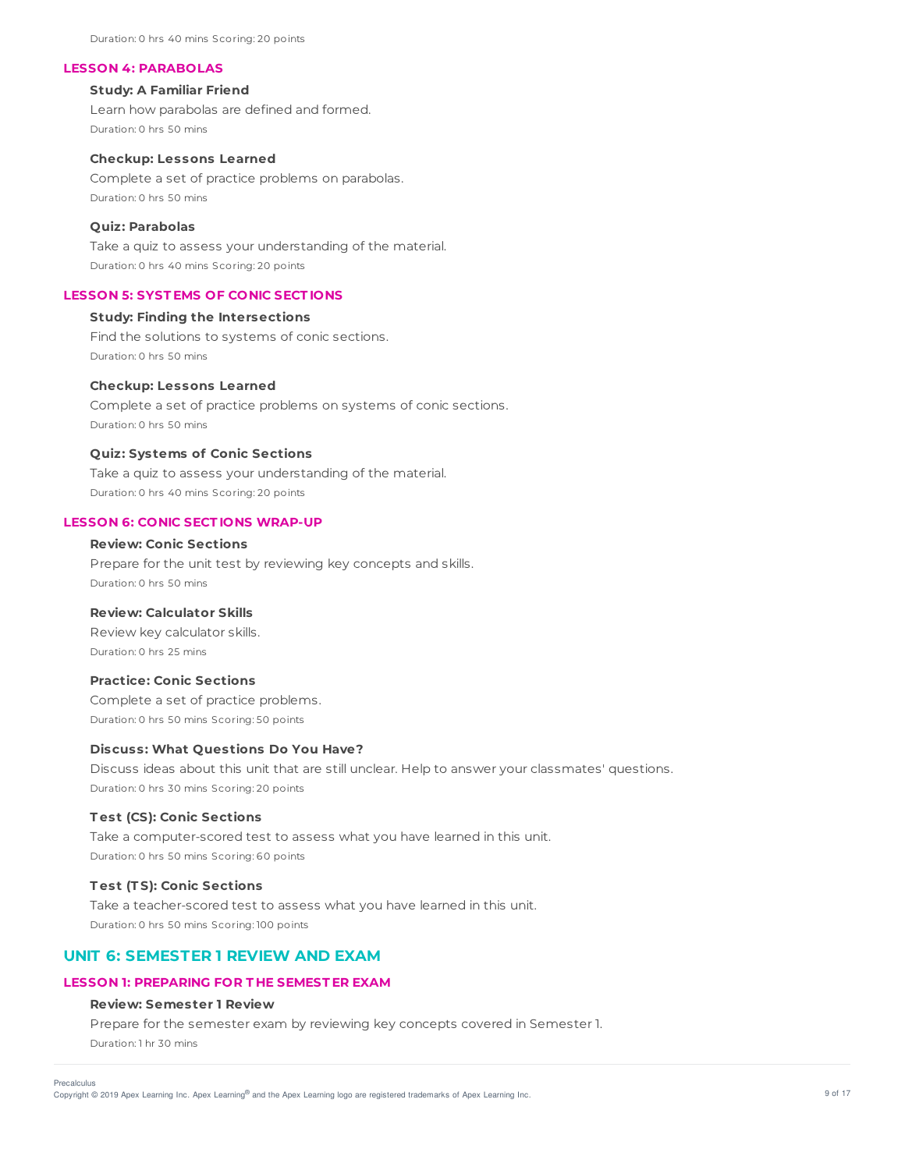Duration: 0 hrs 40 mins Scoring: 20 points

#### **LESSON 4: PARABOLAS**

## **Study: A Familiar Friend**

Learn how parabolas are defined and formed. Duration: 0 hrs 50 mins

#### **Checkup: Lessons Learned**

Complete a set of practice problems on parabolas. Duration: 0 hrs 50 mins

## **Quiz: Parabolas**

Take a quiz to assess your understanding of the material. Duration: 0 hrs 40 mins Scoring: 20 points

## **LESSON 5: SYST EMS OF CONIC SECT IONS**

### **Study: Finding the Intersections**

Find the solutions to systems of conic sections. Duration: 0 hrs 50 mins

#### **Checkup: Lessons Learned**

Complete a set of practice problems on systems of conic sections. Duration: 0 hrs 50 mins

## **Quiz: Systems of Conic Sections**

Take a quiz to assess your understanding of the material. Duration: 0 hrs 40 mins Scoring: 20 points

## **LESSON 6: CONIC SECT IONS WRAP-UP**

## **Review: Conic Sections**

Prepare for the unit test by reviewing key concepts and skills. Duration: 0 hrs 50 mins

#### **Review: Calculator Skills**

Review key calculator skills. Duration: 0 hrs 25 mins

#### **Practice: Conic Sections**

Complete a set of practice problems. Duration: 0 hrs 50 mins Scoring: 50 points

#### **Discuss: What Questions Do You Have?**

Discuss ideas about this unit that are still unclear. Help to answer your classmates' questions. Duration: 0 hrs 30 mins Scoring: 20 points

#### **T est (CS): Conic Sections**

Take a computer-scored test to assess what you have learned in this unit. Duration: 0 hrs 50 mins Scoring: 60 points

#### **T est (T S): Conic Sections**

Take a teacher-scored test to assess what you have learned in this unit. Duration: 0 hrs 50 mins Scoring: 100 points

## **UNIT 6: SEMESTER 1 REVIEW AND EXAM**

## **LESSON 1: PREPARING FOR T HE SEMEST ER EXAM**

## **Review: Semester 1 Review**

Prepare for the semester exam by reviewing key concepts covered in Semester 1. Duration: 1 hr 30 mins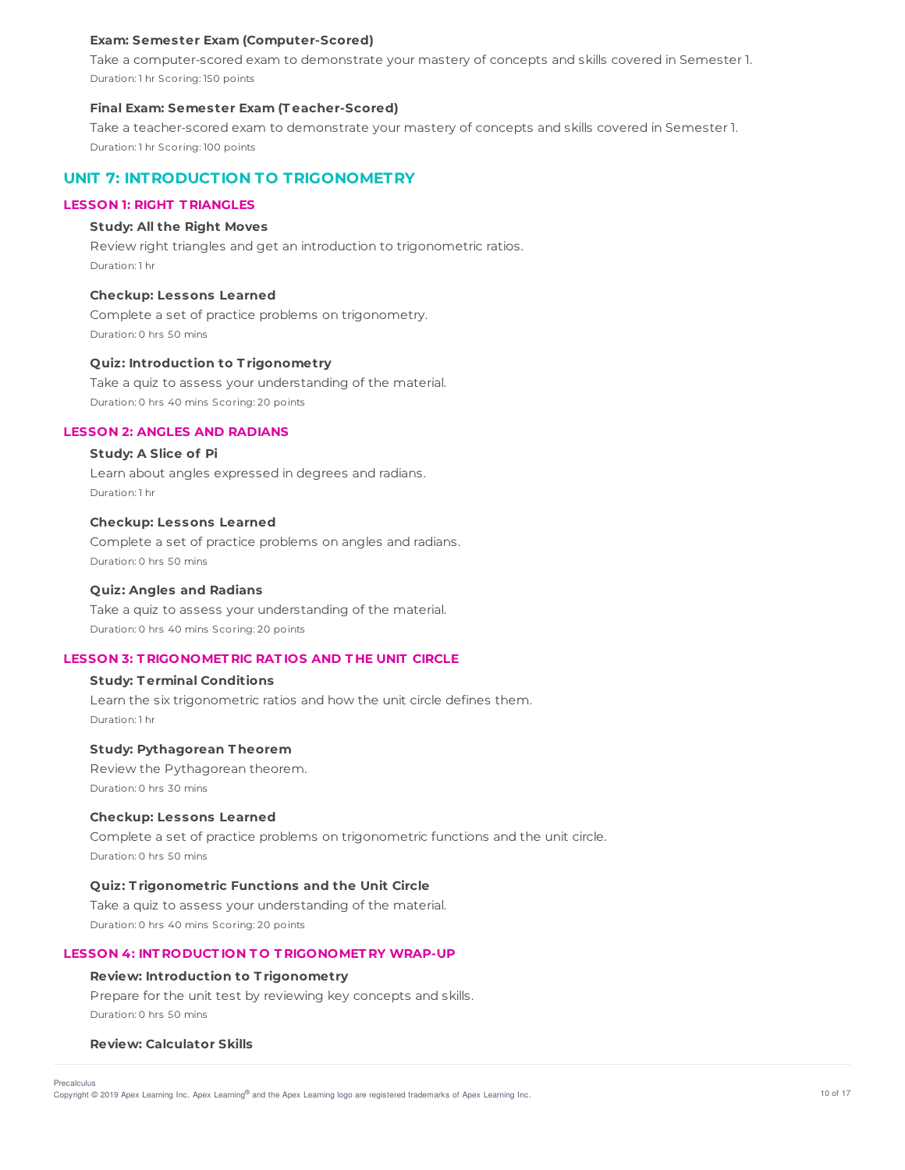#### **Exam: Semester Exam (Computer-Scored)**

Take a computer-scored exam to demonstrate your mastery of concepts and skills covered in Semester 1. Duration: 1 hr Scoring: 150 points

#### **Final Exam: Semester Exam (T eacher-Scored)**

Take a teacher-scored exam to demonstrate your mastery of concepts and skills covered in Semester 1. Duration: 1 hr Scoring: 100 points

## **UNIT 7: INTRODUCTION TO TRIGONOMETRY**

## **LESSON 1: RIGHT T RIANGLES**

### **Study: All the Right Moves**

Review right triangles and get an introduction to trigonometric ratios. Duration: 1 hr

#### **Checkup: Lessons Learned**

Complete a set of practice problems on trigonometry. Duration: 0 hrs 50 mins

#### **Quiz: Introduction to T rigonometry**

Take a quiz to assess your understanding of the material. Duration: 0 hrs 40 mins Scoring: 20 points

### **LESSON 2: ANGLES AND RADIANS**

## **Study: A Slice of Pi**

Learn about angles expressed in degrees and radians. Duration: 1 hr

#### **Checkup: Lessons Learned**

Complete a set of practice problems on angles and radians. Duration: 0 hrs 50 mins

## **Quiz: Angles and Radians**

Take a quiz to assess your understanding of the material. Duration: 0 hrs 40 mins Scoring: 20 points

#### **LESSON 3: T RIGONOMET RIC RAT IOS AND T HE UNIT CIRCLE**

## **Study: T erminal Conditions**

Learn the six trigonometric ratios and how the unit circle defines them. Duration: 1 hr

### **Study: Pythagorean T heorem**

Review the Pythagorean theorem. Duration: 0 hrs 30 mins

#### **Checkup: Lessons Learned**

Complete a set of practice problems on trigonometric functions and the unit circle. Duration: 0 hrs 50 mins

#### **Quiz: T rigonometric Functions and the Unit Circle**

Take a quiz to assess your understanding of the material. Duration: 0 hrs 40 mins Scoring: 20 points

### **LESSON 4: INT RODUCT ION T O T RIGONOMET RY WRAP-UP**

#### **Review: Introduction to T rigonometry**

Prepare for the unit test by reviewing key concepts and skills. Duration: 0 hrs 50 mins

#### **Review: Calculator Skills**

Precalculus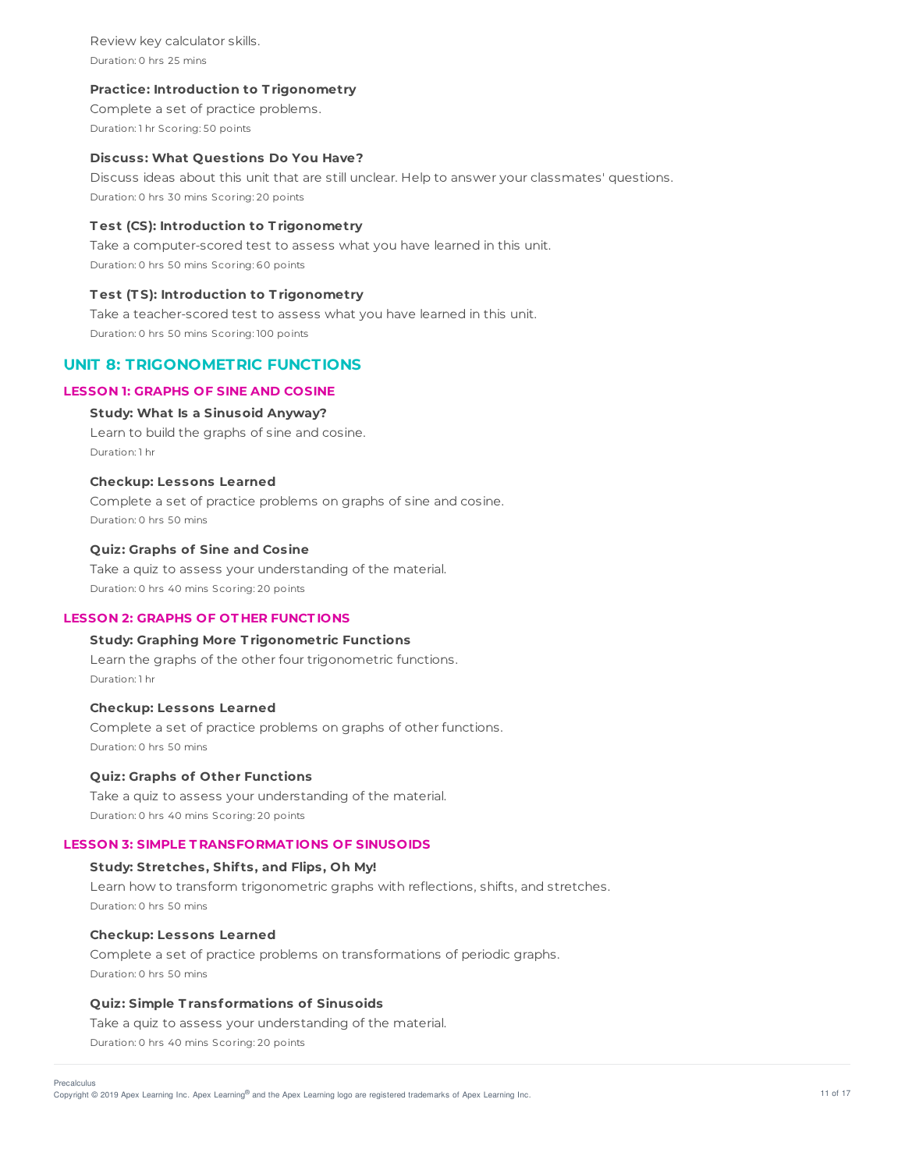Review key calculator skills. Duration: 0 hrs 25 mins

### **Practice: Introduction to T rigonometry**

Complete a set of practice problems. Duration: 1 hr Scoring: 50 points

#### **Discuss: What Questions Do You Have?**

Discuss ideas about this unit that are still unclear. Help to answer your classmates' questions. Duration: 0 hrs 30 mins Scoring: 20 points

#### **T est (CS): Introduction to T rigonometry**

Take a computer-scored test to assess what you have learned in this unit. Duration: 0 hrs 50 mins Scoring: 60 points

### **T est (T S): Introduction to T rigonometry**

Take a teacher-scored test to assess what you have learned in this unit. Duration: 0 hrs 50 mins Scoring: 100 points

# **UNIT 8: TRIGONOMETRIC FUNCTIONS**

## **LESSON 1: GRAPHS OF SINE AND COSINE**

#### **Study: What Is a Sinusoid Anyway?**

Learn to build the graphs of sine and cosine. Duration: 1 hr

#### **Checkup: Lessons Learned**

Complete a set of practice problems on graphs of sine and cosine. Duration: 0 hrs 50 mins

#### **Quiz: Graphs of Sine and Cosine**

Take a quiz to assess your understanding of the material. Duration: 0 hrs 40 mins Scoring: 20 points

## **LESSON 2: GRAPHS OF OT HER FUNCT IONS**

#### **Study: Graphing More T rigonometric Functions**

Learn the graphs of the other four trigonometric functions. Duration: 1 hr

### **Checkup: Lessons Learned**

Complete a set of practice problems on graphs of other functions. Duration: 0 hrs 50 mins

## **Quiz: Graphs of Other Functions**

Take a quiz to assess your understanding of the material. Duration: 0 hrs 40 mins Scoring: 20 points

## **LESSON 3: SIMPLE T RANSFORMAT IONS OF SINUSOIDS**

#### **Study: Stretches, Shif ts, and Flips, Oh My!**

Learn how to transform trigonometric graphs with reflections, shifts, and stretches. Duration: 0 hrs 50 mins

### **Checkup: Lessons Learned**

Complete a set of practice problems on transformations of periodic graphs. Duration: 0 hrs 50 mins

### **Quiz: Simple T ransformations of Sinusoids**

Take a quiz to assess your understanding of the material.

Duration: 0 hrs 40 mins Scoring: 20 points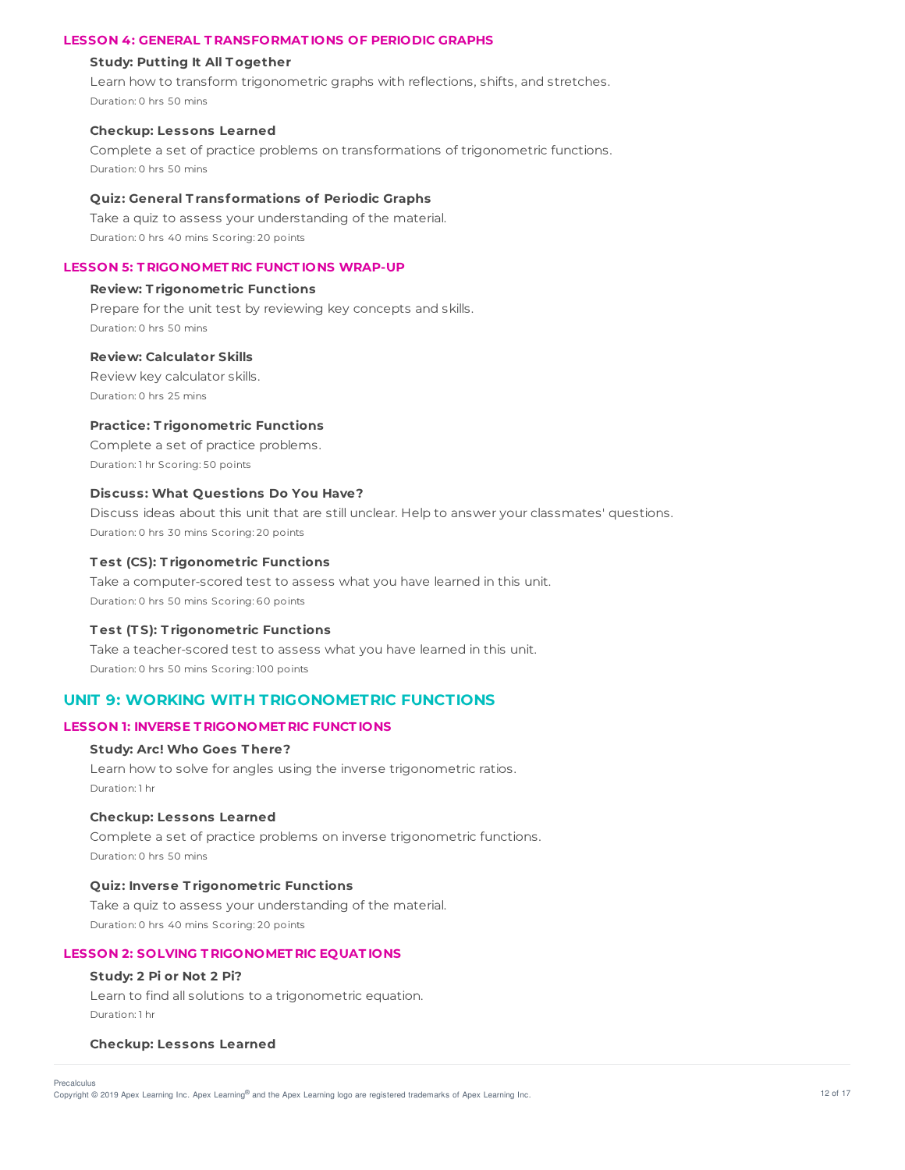### **LESSON 4: GENERAL T RANSFORMAT IONS OF PERIODIC GRAPHS**

#### **Study: Putting It All T ogether**

Learn how to transform trigonometric graphs with reflections, shifts, and stretches. Duration: 0 hrs 50 mins

#### **Checkup: Lessons Learned**

Complete a set of practice problems on transformations of trigonometric functions. Duration: 0 hrs 50 mins

### **Quiz: General T ransformations of Periodic Graphs**

Take a quiz to assess your understanding of the material. Duration: 0 hrs 40 mins Scoring: 20 points

### **LESSON 5: T RIGONOMET RIC FUNCT IONS WRAP-UP**

#### **Review: T rigonometric Functions**

Prepare for the unit test by reviewing key concepts and skills. Duration: 0 hrs 50 mins

## **Review: Calculator Skills**

Review key calculator skills. Duration: 0 hrs 25 mins

### **Practice: T rigonometric Functions**

Complete a set of practice problems. Duration: 1 hr Scoring: 50 points

### **Discuss: What Questions Do You Have?**

Discuss ideas about this unit that are still unclear. Help to answer your classmates' questions. Duration: 0 hrs 30 mins Scoring: 20 points

#### **T est (CS): T rigonometric Functions**

Take a computer-scored test to assess what you have learned in this unit. Duration: 0 hrs 50 mins Scoring: 60 points

#### **T est (T S): T rigonometric Functions**

Take a teacher-scored test to assess what you have learned in this unit. Duration: 0 hrs 50 mins Scoring: 100 points

# **UNIT 9: WORKING WITH TRIGONOMETRIC FUNCTIONS**

### **LESSON 1: INVERSE T RIGONOMET RIC FUNCT IONS**

#### **Study: Arc! Who Goes T here?**

Learn how to solve for angles using the inverse trigonometric ratios. Duration: 1 hr

#### **Checkup: Lessons Learned**

Complete a set of practice problems on inverse trigonometric functions. Duration: 0 hrs 50 mins

#### **Quiz: Inverse T rigonometric Functions**

Take a quiz to assess your understanding of the material. Duration: 0 hrs 40 mins Scoring: 20 points

#### **LESSON 2: SOLVING T RIGONOMET RIC EQUAT IONS**

## **Study: 2 Pi or Not 2 Pi?**

Learn to find all solutions to a trigonometric equation. Duration: 1 hr

#### **Checkup: Lessons Learned**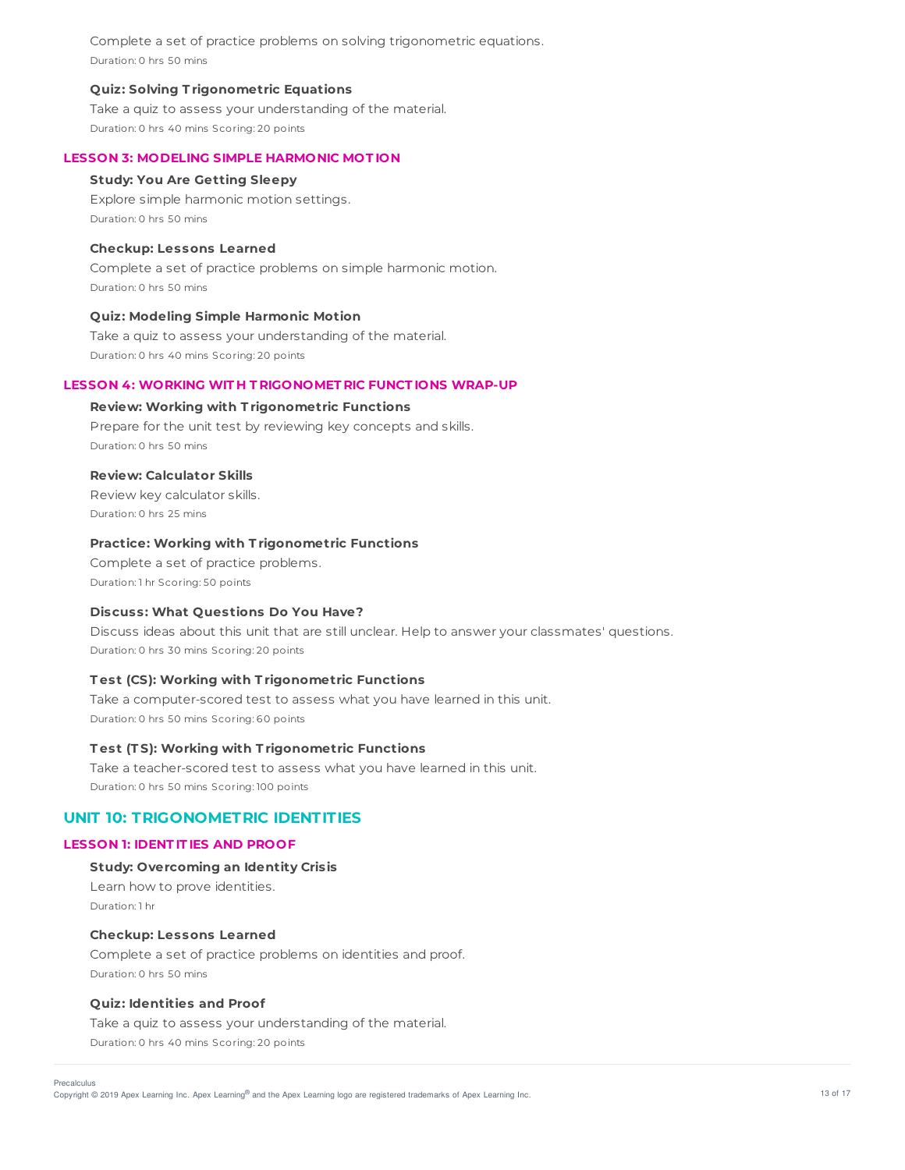Complete a set of practice problems on solving trigonometric equations. Duration: 0 hrs 50 mins

#### **Quiz: Solving T rigonometric Equations**

Take a quiz to assess your understanding of the material. Duration: 0 hrs 40 mins Scoring: 20 points

#### **LESSON 3: MODELING SIMPLE HARMONIC MOT ION**

#### **Study: You Are Getting Sleepy**

Explore simple harmonic motion settings. Duration: 0 hrs 50 mins

#### **Checkup: Lessons Learned**

Complete a set of practice problems on simple harmonic motion. Duration: 0 hrs 50 mins

#### **Quiz: Modeling Simple Harmonic Motion**

Take a quiz to assess your understanding of the material. Duration: 0 hrs 40 mins Scoring: 20 points

### **LESSON 4: WORKING WIT H T RIGONOMET RIC FUNCT IONS WRAP-UP**

#### **Review: Working with T rigonometric Functions**

Prepare for the unit test by reviewing key concepts and skills. Duration: 0 hrs 50 mins

#### **Review: Calculator Skills**

Review key calculator skills. Duration: 0 hrs 25 mins

## **Practice: Working with T rigonometric Functions**

Complete a set of practice problems. Duration: 1 hr Scoring: 50 points

#### **Discuss: What Questions Do You Have?**

Discuss ideas about this unit that are still unclear. Help to answer your classmates' questions. Duration: 0 hrs 30 mins Scoring: 20 points

#### **T est (CS): Working with T rigonometric Functions**

Take a computer-scored test to assess what you have learned in this unit. Duration: 0 hrs 50 mins Scoring: 60 points

### **T est (T S): Working with T rigonometric Functions**

Take a teacher-scored test to assess what you have learned in this unit. Duration: 0 hrs 50 mins Scoring: 100 points

# **UNIT 10: TRIGONOMETRIC IDENTITIES**

## **LESSON 1: IDENT IT IES AND PROOF**

## **Study: Overcoming an Identity Crisis**

Learn how to prove identities. Duration: 1 hr

#### **Checkup: Lessons Learned**

Complete a set of practice problems on identities and proof. Duration: 0 hrs 50 mins

### **Quiz: Identities and Proof**

Take a quiz to assess your understanding of the material. Duration: 0 hrs 40 mins Scoring: 20 points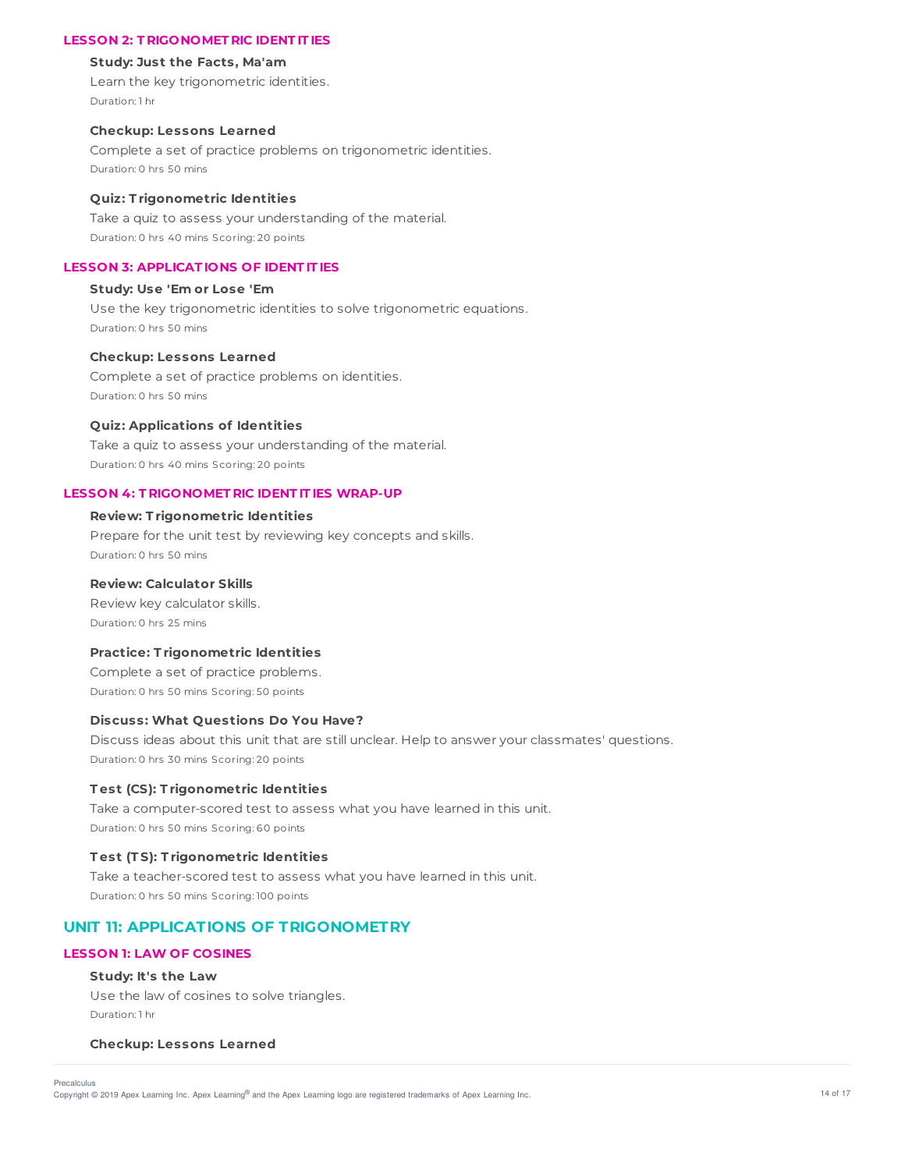### **LESSON 2: T RIGONOMET RIC IDENT IT IES**

#### **Study: Just the Facts, Ma'am**

Learn the key trigonometric identities. Duration: 1 hr

#### **Checkup: Lessons Learned**

Complete a set of practice problems on trigonometric identities. Duration: 0 hrs 50 mins

#### **Quiz: T rigonometric Identities**

Take a quiz to assess your understanding of the material. Duration: 0 hrs 40 mins Scoring: 20 points

#### **LESSON 3: APPLICAT IONS OF IDENT IT IES**

## **Study: Use 'Em or Lose 'Em**

Use the key trigonometric identities to solve trigonometric equations. Duration: 0 hrs 50 mins

#### **Checkup: Lessons Learned**

Complete a set of practice problems on identities. Duration: 0 hrs 50 mins

#### **Quiz: Applications of Identities**

Take a quiz to assess your understanding of the material. Duration: 0 hrs 40 mins Scoring: 20 points

#### **LESSON 4: T RIGONOMET RIC IDENT IT IES WRAP-UP**

#### **Review: T rigonometric Identities**

Prepare for the unit test by reviewing key concepts and skills. Duration: 0 hrs 50 mins

## **Review: Calculator Skills**

Review key calculator skills. Duration: 0 hrs 25 mins

## **Practice: T rigonometric Identities**

Complete a set of practice problems. Duration: 0 hrs 50 mins Scoring: 50 points

#### **Discuss: What Questions Do You Have?**

Discuss ideas about this unit that are still unclear. Help to answer your classmates' questions. Duration: 0 hrs 30 mins Scoring: 20 points

### **T est (CS): T rigonometric Identities**

Take a computer-scored test to assess what you have learned in this unit. Duration: 0 hrs 50 mins Scoring: 60 points

#### **T est (T S): T rigonometric Identities**

Take a teacher-scored test to assess what you have learned in this unit. Duration: 0 hrs 50 mins Scoring: 100 points

# **UNIT 11: APPLICATIONS OF TRIGONOMETRY**

## **LESSON 1: LAW OF COSINES**

#### **Study: It's the Law**

Precalculus

Use the law of cosines to solve triangles. Duration: 1 hr

#### **Checkup: Lessons Learned**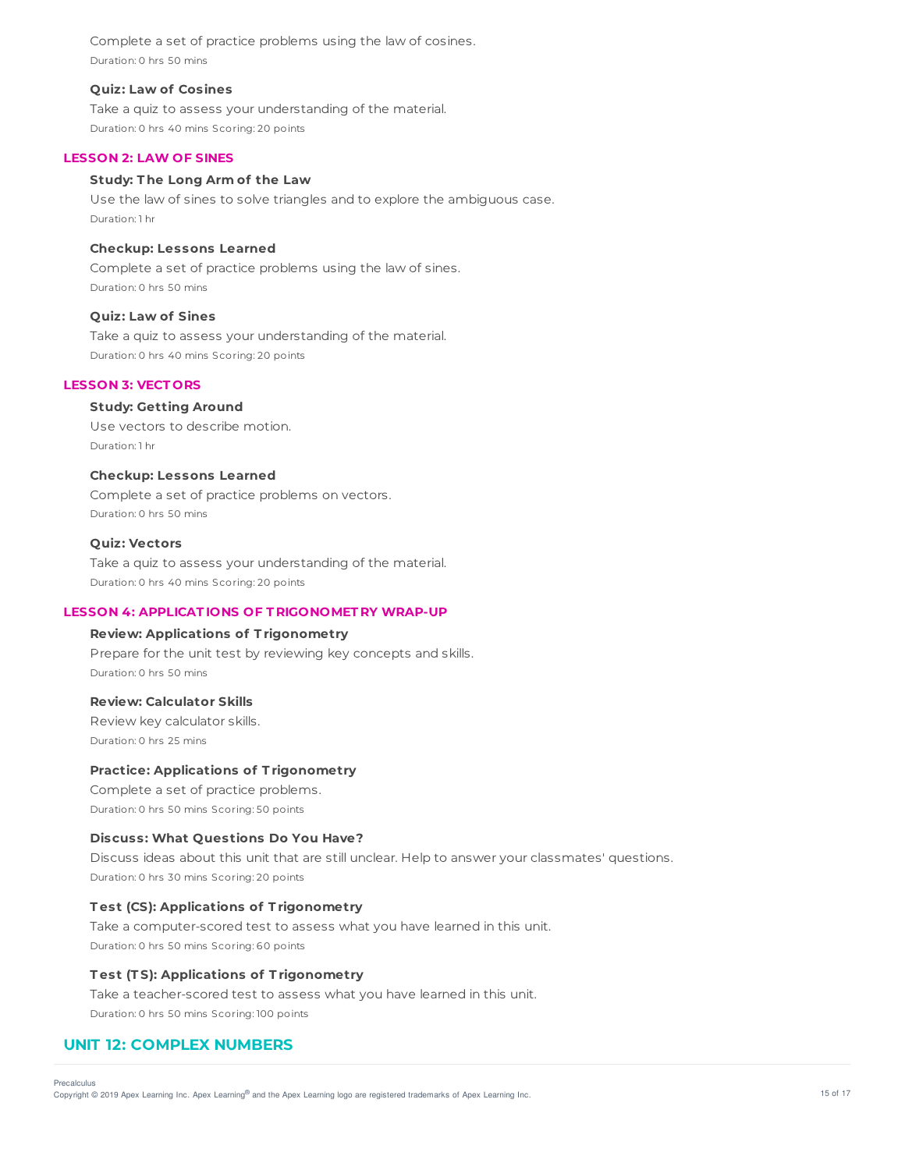Complete a set of practice problems using the law of cosines. Duration: 0 hrs 50 mins

#### **Quiz: Law of Cosines**

Take a quiz to assess your understanding of the material. Duration: 0 hrs 40 mins Scoring: 20 points

#### **LESSON 2: LAW OF SINES**

#### **Study: T he Long Arm of the Law**

Use the law of sines to solve triangles and to explore the ambiguous case. Duration: 1 hr

#### **Checkup: Lessons Learned**

Complete a set of practice problems using the law of sines. Duration: 0 hrs 50 mins

#### **Quiz: Law of Sines**

Take a quiz to assess your understanding of the material. Duration: 0 hrs 40 mins Scoring: 20 points

## **LESSON 3: VECT ORS**

# **Study: Getting Around**

Use vectors to describe motion. Duration: 1 hr

#### **Checkup: Lessons Learned**

Complete a set of practice problems on vectors. Duration: 0 hrs 50 mins

## **Quiz: Vectors**

Take a quiz to assess your understanding of the material. Duration: 0 hrs 40 mins Scoring: 20 points

## **LESSON 4: APPLICAT IONS OF T RIGONOMET RY WRAP-UP**

## **Review: Applications of T rigonometry**

Prepare for the unit test by reviewing key concepts and skills. Duration: 0 hrs 50 mins

#### **Review: Calculator Skills**

Review key calculator skills. Duration: 0 hrs 25 mins

#### **Practice: Applications of T rigonometry**

Complete a set of practice problems. Duration: 0 hrs 50 mins Scoring: 50 points

### **Discuss: What Questions Do You Have?**

Discuss ideas about this unit that are still unclear. Help to answer your classmates' questions. Duration: 0 hrs 30 mins Scoring: 20 points

#### **T est (CS): Applications of T rigonometry**

Take a computer-scored test to assess what you have learned in this unit. Duration: 0 hrs 50 mins Scoring: 60 points

## **T est (T S): Applications of T rigonometry**

Take a teacher-scored test to assess what you have learned in this unit. Duration: 0 hrs 50 mins Scoring: 100 points

## **UNIT 12: COMPLEX NUMBERS**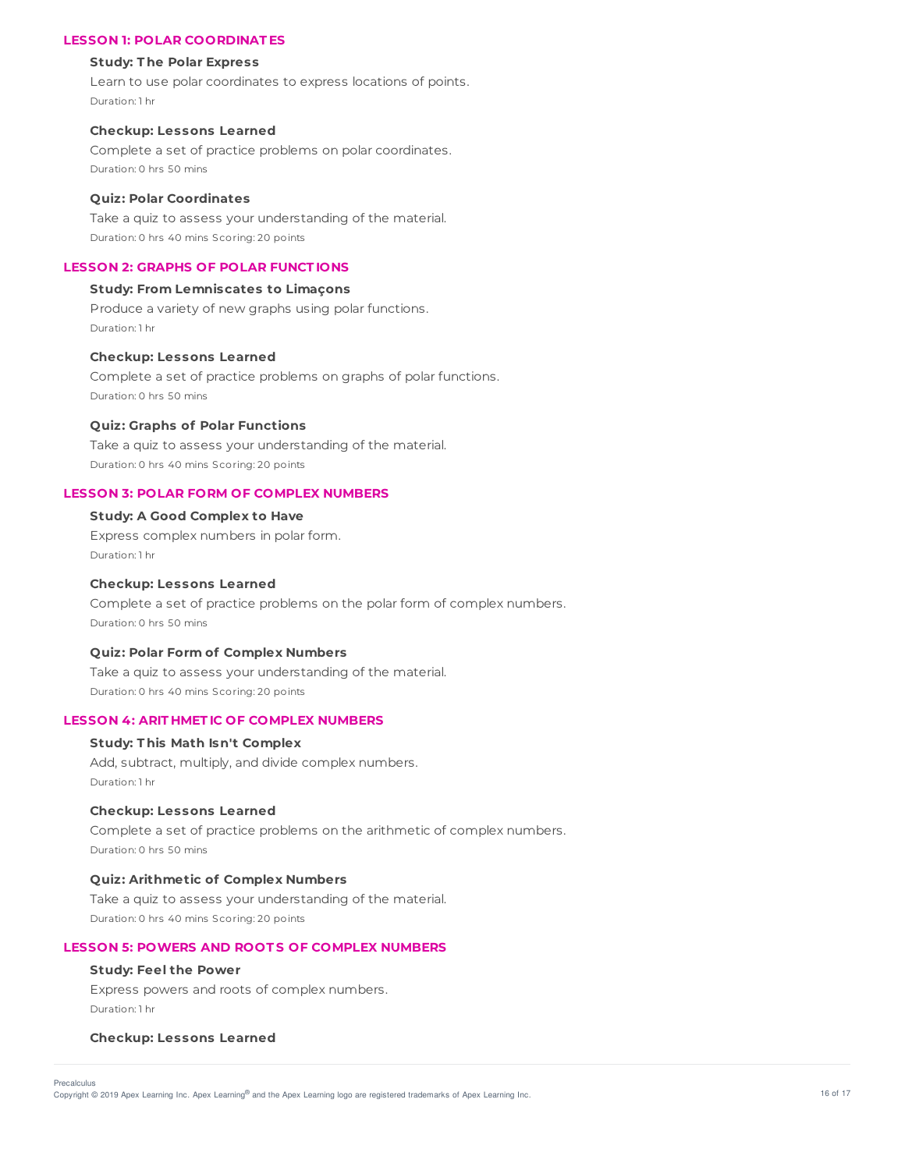## **LESSON 1: POLAR COORDINAT ES**

#### **Study: T he Polar Express**

Learn to use polar coordinates to express locations of points. Duration: 1 hr

### **Checkup: Lessons Learned**

Complete a set of practice problems on polar coordinates. Duration: 0 hrs 50 mins

#### **Quiz: Polar Coordinates**

Take a quiz to assess your understanding of the material. Duration: 0 hrs 40 mins Scoring: 20 points

## **LESSON 2: GRAPHS OF POLAR FUNCT IONS**

### **Study: From Lemniscates to Limaçons**

Produce a variety of new graphs using polar functions. Duration: 1 hr

## **Checkup: Lessons Learned**

Complete a set of practice problems on graphs of polar functions. Duration: 0 hrs 50 mins

#### **Quiz: Graphs of Polar Functions**

Take a quiz to assess your understanding of the material. Duration: 0 hrs 40 mins Scoring: 20 points

#### **LESSON 3: POLAR FORM OF COMPLEX NUMBERS**

### **Study: A Good Complex to Have**

Express complex numbers in polar form. Duration: 1 hr

### **Checkup: Lessons Learned**

Complete a set of practice problems on the polar form of complex numbers. Duration: 0 hrs 50 mins

#### **Quiz: Polar Form of Complex Numbers**

Take a quiz to assess your understanding of the material. Duration: 0 hrs 40 mins Scoring: 20 points

#### **LESSON 4: ARIT HMET IC OF COMPLEX NUMBERS**

### **Study: T his Math Isn't Complex**

Add, subtract, multiply, and divide complex numbers. Duration: 1 hr

#### **Checkup: Lessons Learned**

Complete a set of practice problems on the arithmetic of complex numbers. Duration: 0 hrs 50 mins

### **Quiz: Arithmetic of Complex Numbers**

Take a quiz to assess your understanding of the material. Duration: 0 hrs 40 mins Scoring: 20 points

#### **LESSON 5: POWERS AND ROOT S OF COMPLEX NUMBERS**

### **Study: Feel the Power**

Express powers and roots of complex numbers. Duration: 1 hr

#### **Checkup: Lessons Learned**